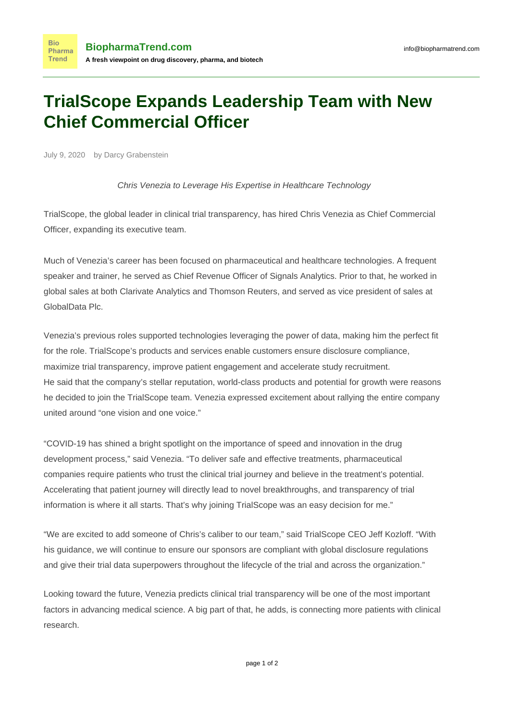## **TrialScope Expands Leadership Team with New Chief Commercial Officer**

July 9, 2020 by Darcy Grabenstein

Chris Venezia to Leverage His Expertise in Healthcare Technology

TrialScope, the global leader in clinical trial transparency, has hired Chris Venezia as Chief Commercial Officer, expanding its executive team.

Much of Venezia's career has been focused on pharmaceutical and healthcare technologies. A frequent speaker and trainer, he served as Chief Revenue Officer of Signals Analytics. Prior to that, he worked in global sales at both Clarivate Analytics and Thomson Reuters, and served as vice president of sales at GlobalData Plc.

Venezia's previous roles supported technologies leveraging the power of data, making him the perfect fit for the role. TrialScope's products and services enable customers ensure disclosure compliance, maximize trial transparency, improve patient engagement and accelerate study recruitment. He said that the company's stellar reputation, world-class products and potential for growth were reasons he decided to join the TrialScope team. Venezia expressed excitement about rallying the entire company united around "one vision and one voice."

"COVID-19 has shined a bright spotlight on the importance of speed and innovation in the drug development process," said Venezia. "To deliver safe and effective treatments, pharmaceutical companies require patients who trust the clinical trial journey and believe in the treatment's potential. Accelerating that patient journey will directly lead to novel breakthroughs, and transparency of trial information is where it all starts. That's why joining TrialScope was an easy decision for me."

"We are excited to add someone of Chris's caliber to our team," said TrialScope CEO Jeff Kozloff. "With his guidance, we will continue to ensure our sponsors are compliant with global disclosure regulations and give their trial data superpowers throughout the lifecycle of the trial and across the organization."

Looking toward the future, Venezia predicts clinical trial transparency will be one of the most important factors in advancing medical science. A big part of that, he adds, is connecting more patients with clinical research.